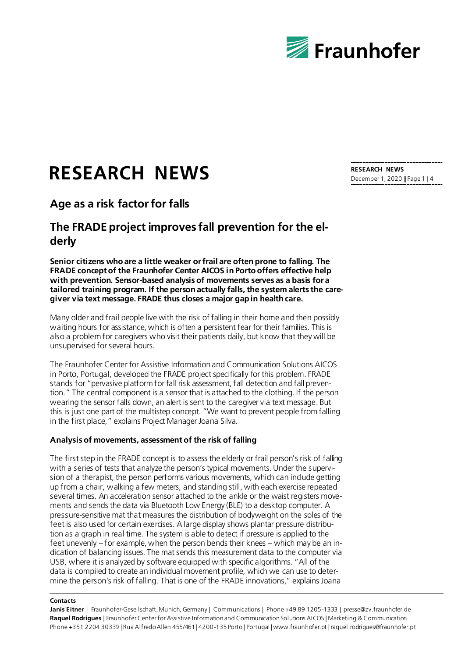

# **RESEARCH NEWS**

## **Age as a risk factor for falls**

## **The FRADE project improves fall prevention for the elderly**

**Senior citizens who are a little weaker or frail are often prone to falling. The FRADE concept of the Fraunhofer Center AICOS in Porto offers effective help with prevention. Sensor-based analysis of movements serves as a basis for a tailored training program. If the person actually falls, the system alerts the caregiver via text message. FRADE thus closes a major gap in health care.**

Many older and frail people live with the risk of falling in their home and then possibly waiting hours for assistance, which is often a persistent fear for their families. This is also a problem for caregivers who visit their patients daily, but know that they will be unsupervised for several hours.

The Fraunhofer Center for Assistive Information and Communication Solutions AICOS in Porto, Portugal, developed the FRADE project specifically for this problem. FRADE stands for "pervasive platform for fall risk assessment, fall detection and fall prevention." The central component is a sensor that is attached to the clothing. If the person wearing the sensor falls down, an alert is sent to the caregiver via text message. But this is just one part of the multistep concept. "We want to prevent people from falling in the first place," explains Project Manager Joana Silva.

### **Analysis of movements, assessment of the risk of falling**

The first step in the FRADE concept is to assess the elderly or frail person's risk of falling with a series of tests that analyze the person's typical movements. Under the supervision of a therapist, the person performs various movements, which can include getting up from a chair, walking a few meters, and standing still, with each exercise repeated several times. An acceleration sensor attached to the ankle or the waist registers movements and sends the data via Bluetooth Low Energy (BLE) to a desktop computer. A pressure-sensitive mat that measures the distribution of bodyweight on the soles of the feet is also used for certain exercises. A large display shows plantar pressure distribution as a graph in real time. The system is able to detect if pressure is applied to the feet unevenly – for example, when the person bends their knees – which may be an indication of balancing issues. The mat sends this measurement data to the computer via USB, where it is analyzed by software equipped with specific algorithms. "All of the data is compiled to create an individual movement profile, which we can use to determine the person's risk of falling. That is one of the FRADE innovations," explains Joana

#### **Contacts**

Janis Eitner | Fraunhofer-Gesellschaft, Munich, Germany | Communications | Phone +49 89 1205-1333 | presse@zv.fraunhofer.de **Raquel Rodrigues** | Fraunhofer Center for Assistive Information and Communication Solutions AICOS | Marketing & Communication Phone +351 2204 30339 | Rua Alfredo Allen 455/461 | 4200-135 Porto | Portugal | www.fraunhofer.pt | raquel.rodrigues@fraunhofer.pt

**RESEARCH NEWS** December 1, 2020 || Page 1 | 4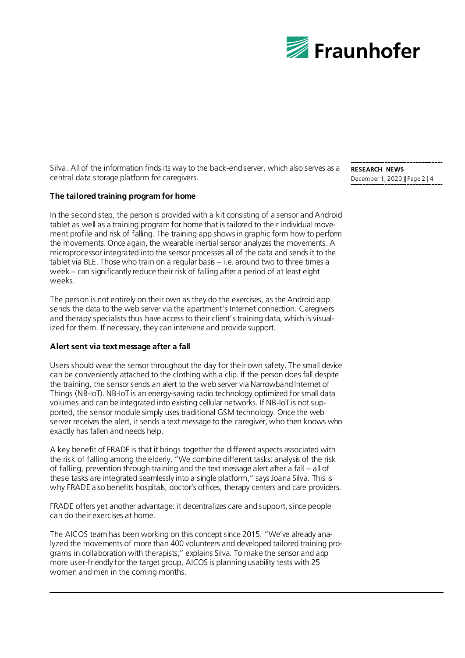

Silva. All of the information finds its way to the back-end server, which also serves as a central data storage platform for caregivers.

### **The tailored training program for home**

In the second step, the person is provided with a kit consisting of a sensor and Android tablet as well as a training program for home that is tailored to their individual movement profile and risk of falling. The training app shows in graphic form how to perform the movements. Once again, the wearable inertial sensor analyzes the movements. A microprocessor integrated into the sensor processes all of the data and sends it to the tablet via BLE. Those who train on a regular basis – i.e. around two to three times a week – can significantly reduce their risk of falling after a period of at least eight weeks.

The person is not entirely on their own as they do the exercises, as the Android app sends the data to the web server via the apartment's Internet connection. Caregivers and therapy specialists thus have access to their client's training data, which is visualized for them. If necessary, they can intervene and provide support.

### **Alert sent via text message after a fall**

Users should wear the sensor throughout the day for their own safety. The small device can be conveniently attached to the clothing with a clip. If the person does fall despite the training, the sensor sends an alert to the web server via Narrowband Internet of Things (NB-IoT). NB-IoT is an energy-saving radio technology optimized for small data volumes and can be integrated into existing cellular networks. If NB-IoT is not supported, the sensor module simply uses traditional GSM technology. Once the web server receives the alert, it sends a text message to the caregiver, who then knows who exactly has fallen and needs help.

A key benefit of FRADE is that it brings together the different aspects associated with the risk of falling among the elderly. "We combine different tasks: analysis of the risk of falling, prevention through training and the text message alert after a fall – all of these tasks are integrated seamlessly into a single platform," says Joana Silva. This is why FRADE also benefits hospitals, doctor's offices, therapy centers and care providers.

FRADE offers yet another advantage: it decentralizes care and support, since people can do their exercises at home.

The AICOS team has been working on this concept since 2015. "We've already analyzed the movements of more than 400 volunteers and developed tailored training programs in collaboration with therapists," explains Silva. To make the sensor and app more user-friendly for the target group, AICOS is planning usability tests with 25 women and men in the coming months.

**RESEARCH NEWS** December 1, 2020 || Page 2 | 4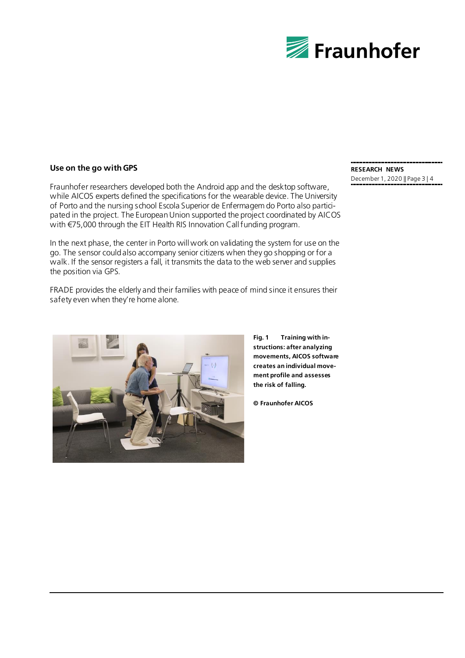

### **Use on the go with GPS**

Fraunhofer researchers developed both the Android app and the desktop software, while AICOS experts defined the specifications for the wearable device. The University of Porto and the nursing school Escola Superior de Enfermagem do Porto also participated in the project. The European Union supported the project coordinated by AICOS with €75,000 through the EIT Health RIS Innovation Call funding program.

In the next phase, the center in Porto will work on validating the system for use on the go. The sensor could also accompany senior citizens when they go shopping or for a walk. If the sensor registers a fall, it transmits the data to the web server and supplies the position via GPS.

FRADE provides the elderly and their families with peace of mind since it ensures their safety even when they're home alone.

#### **RESEARCH NEWS** December 1, 2020 || Page 3 | 4



**Fig. 1 Training with instructions: after analyzing movements, AICOS software creates an individual movement profile and assesses the risk of falling.** 

**© Fraunhofer AICOS**